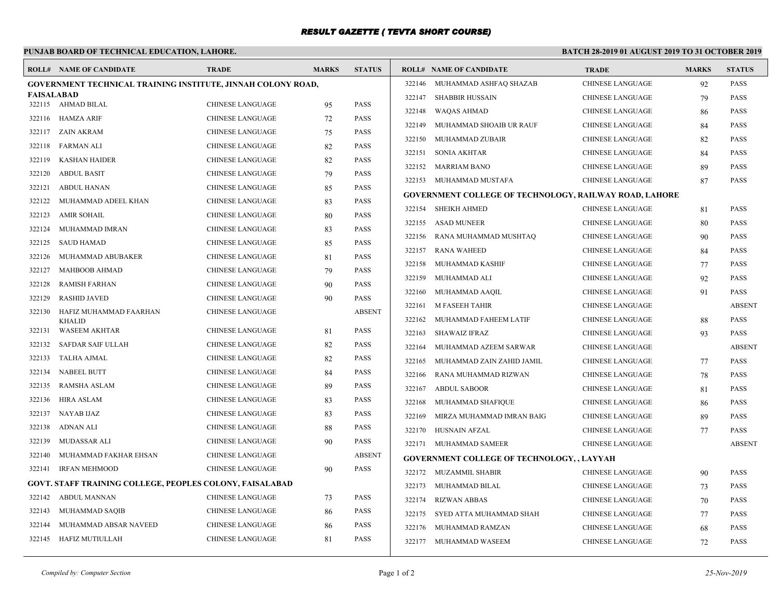## *RESULT GAZETTE ( TEVTA SHORT COURSE)*

## **PUNJAB BOARD OF TECHNICAL EDUCATION, LAHORE.**

## **BATCH 28-2019 01 AUGUST 2019 TO 31 OCTOBER 2019**

| 322146 MUHAMMAD ASHFAQ SHAZAB<br>CHINESE LANGUAGE<br>92<br><b>GOVERNMENT TECHNICAL TRAINING INSTITUTE, JINNAH COLONY ROAD,</b><br><b>FAISALABAD</b><br>322147 SHABBIR HUSSAIN<br><b>CHINESE LANGUAGE</b><br>79<br>CHINESE LANGUAGE<br><b>PASS</b><br>322115 AHMAD BILAL<br>95<br>322148<br>WAQAS AHMAD<br><b>CHINESE LANGUAGE</b><br>86<br>322116 HAMZA ARIF<br><b>CHINESE LANGUAGE</b><br><b>PASS</b><br>72<br>322149 MUHAMMAD SHOAIB UR RAUF<br><b>CHINESE LANGUAGE</b><br>84<br>322117 ZAIN AKRAM<br><b>CHINESE LANGUAGE</b><br><b>PASS</b><br>75<br>322150 MUHAMMAD ZUBAIR<br><b>CHINESE LANGUAGE</b><br>82<br><b>PASS</b><br>322118<br>FARMAN ALI<br><b>CHINESE LANGUAGE</b><br>82<br>322151<br>SONIA AKHTAR<br>CHINESE LANGUAGE<br>84<br><b>CHINESE LANGUAGE</b><br><b>PASS</b><br>322119<br>KASHAN HAIDER<br>82<br>322152 MARRIAM BANO<br>CHINESE LANGUAGE<br>-89<br><b>PASS</b><br>322120<br><b>ABDUL BASIT</b><br><b>CHINESE LANGUAGE</b><br>79<br>322153 MUHAMMAD MUSTAFA<br><b>CHINESE LANGUAGE</b><br>87<br>322121 ABDUL HANAN<br><b>CHINESE LANGUAGE</b><br><b>PASS</b><br>85<br><b>GOVERNMENT COLLEGE OF TECHNOLOGY, RAILWAY ROAD, LAHORE</b><br><b>PASS</b><br>322122<br>MUHAMMAD ADEEL KHAN<br><b>CHINESE LANGUAGE</b><br>83<br>322154 SHEIKH AHMED<br><b>CHINESE LANGUAGE</b><br>81<br><b>PASS</b><br>322123<br>AMIR SOHAIL<br><b>CHINESE LANGUAGE</b><br>80<br>322155 ASAD MUNEER<br><b>CHINESE LANGUAGE</b><br>80<br>MUHAMMAD IMRAN<br><b>CHINESE LANGUAGE</b><br><b>PASS</b><br>322124<br>83<br>322156 RANA MUHAMMAD MUSHTAQ<br><b>CHINESE LANGUAGE</b><br>90<br><b>PASS</b><br>322125<br><b>SAUD HAMAD</b><br><b>CHINESE LANGUAGE</b><br>85<br>322157 RANA WAHEED<br>CHINESE LANGUAGE<br>84<br>CHINESE LANGUAGE<br><b>PASS</b><br>322126<br>MUHAMMAD ABUBAKER<br>81<br>CHINESE LANGUAGE<br>322158<br>MUHAMMAD KASHIF<br>77<br>322127<br>MAHBOOB AHMAD<br><b>CHINESE LANGUAGE</b><br><b>PASS</b><br>79<br>322159<br>MUHAMMAD ALI<br>CHINESE LANGUAGE<br>92<br><b>PASS</b><br>322128<br>RAMISH FARHAN<br><b>CHINESE LANGUAGE</b><br>90<br>322160<br>MUHAMMAD AAQIL<br>CHINESE LANGUAGE<br>91<br>322129<br><b>RASHID JAVED</b><br><b>CHINESE LANGUAGE</b><br><b>PASS</b><br>90<br>322161<br>M FASEEH TAHIR<br><b>CHINESE LANGUAGE</b><br><b>ABSENT</b><br>322130 HAFIZ MUHAMMAD FAARHAN<br><b>CHINESE LANGUAGE</b><br>322162 MUHAMMAD FAHEEM LATIF<br>CHINESE LANGUAGE<br>88<br><b>KHALID</b><br><b>PASS</b><br>322131 WASEEM AKHTAR<br><b>CHINESE LANGUAGE</b><br>81<br>SHAWAIZ IFRAZ<br><b>CHINESE LANGUAGE</b><br>322163<br>93<br><b>PASS</b><br>322132<br>SAFDAR SAIF ULLAH<br><b>CHINESE LANGUAGE</b><br>82<br>322164<br>MUHAMMAD AZEEM SARWAR<br>CHINESE LANGUAGE<br>322133 TALHA AJMAL<br><b>CHINESE LANGUAGE</b><br>82<br><b>PASS</b><br>322165<br>MUHAMMAD ZAIN ZAHID JAMIL<br>CHINESE LANGUAGE<br>77<br><b>PASS</b><br>322134<br><b>NABEEL BUTT</b><br><b>CHINESE LANGUAGE</b><br>84<br>322166<br>RANA MUHAMMAD RIZWAN<br>CHINESE LANGUAGE<br>78<br><b>CHINESE LANGUAGE</b><br><b>PASS</b><br>322135<br>RAMSHA ASLAM<br>89<br>322167 ABDUL SABOOR<br>CHINESE LANGUAGE<br>81<br><b>CHINESE LANGUAGE</b><br><b>PASS</b><br>322136<br>HIRA ASLAM<br>83<br>322168<br>MUHAMMAD SHAFIQUE<br><b>CHINESE LANGUAGE</b><br>86<br><b>PASS</b><br>322137<br>NAYAB IJAZ<br><b>CHINESE LANGUAGE</b><br>83 | <b>PASS</b><br><b>PASS</b><br><b>PASS</b><br><b>PASS</b><br><b>PASS</b><br><b>PASS</b><br><b>PASS</b><br><b>PASS</b><br><b>PASS</b><br><b>PASS</b><br><b>PASS</b> |
|-------------------------------------------------------------------------------------------------------------------------------------------------------------------------------------------------------------------------------------------------------------------------------------------------------------------------------------------------------------------------------------------------------------------------------------------------------------------------------------------------------------------------------------------------------------------------------------------------------------------------------------------------------------------------------------------------------------------------------------------------------------------------------------------------------------------------------------------------------------------------------------------------------------------------------------------------------------------------------------------------------------------------------------------------------------------------------------------------------------------------------------------------------------------------------------------------------------------------------------------------------------------------------------------------------------------------------------------------------------------------------------------------------------------------------------------------------------------------------------------------------------------------------------------------------------------------------------------------------------------------------------------------------------------------------------------------------------------------------------------------------------------------------------------------------------------------------------------------------------------------------------------------------------------------------------------------------------------------------------------------------------------------------------------------------------------------------------------------------------------------------------------------------------------------------------------------------------------------------------------------------------------------------------------------------------------------------------------------------------------------------------------------------------------------------------------------------------------------------------------------------------------------------------------------------------------------------------------------------------------------------------------------------------------------------------------------------------------------------------------------------------------------------------------------------------------------------------------------------------------------------------------------------------------------------------------------------------------------------------------------------------------------------------------------------------------------------------------------------------------------------------------------------------------------------------------------------------------------------------------------------------------------------------------------------------------------|-------------------------------------------------------------------------------------------------------------------------------------------------------------------|
|                                                                                                                                                                                                                                                                                                                                                                                                                                                                                                                                                                                                                                                                                                                                                                                                                                                                                                                                                                                                                                                                                                                                                                                                                                                                                                                                                                                                                                                                                                                                                                                                                                                                                                                                                                                                                                                                                                                                                                                                                                                                                                                                                                                                                                                                                                                                                                                                                                                                                                                                                                                                                                                                                                                                                                                                                                                                                                                                                                                                                                                                                                                                                                                                                                                                                                                         |                                                                                                                                                                   |
|                                                                                                                                                                                                                                                                                                                                                                                                                                                                                                                                                                                                                                                                                                                                                                                                                                                                                                                                                                                                                                                                                                                                                                                                                                                                                                                                                                                                                                                                                                                                                                                                                                                                                                                                                                                                                                                                                                                                                                                                                                                                                                                                                                                                                                                                                                                                                                                                                                                                                                                                                                                                                                                                                                                                                                                                                                                                                                                                                                                                                                                                                                                                                                                                                                                                                                                         |                                                                                                                                                                   |
|                                                                                                                                                                                                                                                                                                                                                                                                                                                                                                                                                                                                                                                                                                                                                                                                                                                                                                                                                                                                                                                                                                                                                                                                                                                                                                                                                                                                                                                                                                                                                                                                                                                                                                                                                                                                                                                                                                                                                                                                                                                                                                                                                                                                                                                                                                                                                                                                                                                                                                                                                                                                                                                                                                                                                                                                                                                                                                                                                                                                                                                                                                                                                                                                                                                                                                                         |                                                                                                                                                                   |
|                                                                                                                                                                                                                                                                                                                                                                                                                                                                                                                                                                                                                                                                                                                                                                                                                                                                                                                                                                                                                                                                                                                                                                                                                                                                                                                                                                                                                                                                                                                                                                                                                                                                                                                                                                                                                                                                                                                                                                                                                                                                                                                                                                                                                                                                                                                                                                                                                                                                                                                                                                                                                                                                                                                                                                                                                                                                                                                                                                                                                                                                                                                                                                                                                                                                                                                         |                                                                                                                                                                   |
|                                                                                                                                                                                                                                                                                                                                                                                                                                                                                                                                                                                                                                                                                                                                                                                                                                                                                                                                                                                                                                                                                                                                                                                                                                                                                                                                                                                                                                                                                                                                                                                                                                                                                                                                                                                                                                                                                                                                                                                                                                                                                                                                                                                                                                                                                                                                                                                                                                                                                                                                                                                                                                                                                                                                                                                                                                                                                                                                                                                                                                                                                                                                                                                                                                                                                                                         |                                                                                                                                                                   |
|                                                                                                                                                                                                                                                                                                                                                                                                                                                                                                                                                                                                                                                                                                                                                                                                                                                                                                                                                                                                                                                                                                                                                                                                                                                                                                                                                                                                                                                                                                                                                                                                                                                                                                                                                                                                                                                                                                                                                                                                                                                                                                                                                                                                                                                                                                                                                                                                                                                                                                                                                                                                                                                                                                                                                                                                                                                                                                                                                                                                                                                                                                                                                                                                                                                                                                                         |                                                                                                                                                                   |
|                                                                                                                                                                                                                                                                                                                                                                                                                                                                                                                                                                                                                                                                                                                                                                                                                                                                                                                                                                                                                                                                                                                                                                                                                                                                                                                                                                                                                                                                                                                                                                                                                                                                                                                                                                                                                                                                                                                                                                                                                                                                                                                                                                                                                                                                                                                                                                                                                                                                                                                                                                                                                                                                                                                                                                                                                                                                                                                                                                                                                                                                                                                                                                                                                                                                                                                         |                                                                                                                                                                   |
|                                                                                                                                                                                                                                                                                                                                                                                                                                                                                                                                                                                                                                                                                                                                                                                                                                                                                                                                                                                                                                                                                                                                                                                                                                                                                                                                                                                                                                                                                                                                                                                                                                                                                                                                                                                                                                                                                                                                                                                                                                                                                                                                                                                                                                                                                                                                                                                                                                                                                                                                                                                                                                                                                                                                                                                                                                                                                                                                                                                                                                                                                                                                                                                                                                                                                                                         |                                                                                                                                                                   |
|                                                                                                                                                                                                                                                                                                                                                                                                                                                                                                                                                                                                                                                                                                                                                                                                                                                                                                                                                                                                                                                                                                                                                                                                                                                                                                                                                                                                                                                                                                                                                                                                                                                                                                                                                                                                                                                                                                                                                                                                                                                                                                                                                                                                                                                                                                                                                                                                                                                                                                                                                                                                                                                                                                                                                                                                                                                                                                                                                                                                                                                                                                                                                                                                                                                                                                                         |                                                                                                                                                                   |
|                                                                                                                                                                                                                                                                                                                                                                                                                                                                                                                                                                                                                                                                                                                                                                                                                                                                                                                                                                                                                                                                                                                                                                                                                                                                                                                                                                                                                                                                                                                                                                                                                                                                                                                                                                                                                                                                                                                                                                                                                                                                                                                                                                                                                                                                                                                                                                                                                                                                                                                                                                                                                                                                                                                                                                                                                                                                                                                                                                                                                                                                                                                                                                                                                                                                                                                         |                                                                                                                                                                   |
|                                                                                                                                                                                                                                                                                                                                                                                                                                                                                                                                                                                                                                                                                                                                                                                                                                                                                                                                                                                                                                                                                                                                                                                                                                                                                                                                                                                                                                                                                                                                                                                                                                                                                                                                                                                                                                                                                                                                                                                                                                                                                                                                                                                                                                                                                                                                                                                                                                                                                                                                                                                                                                                                                                                                                                                                                                                                                                                                                                                                                                                                                                                                                                                                                                                                                                                         |                                                                                                                                                                   |
|                                                                                                                                                                                                                                                                                                                                                                                                                                                                                                                                                                                                                                                                                                                                                                                                                                                                                                                                                                                                                                                                                                                                                                                                                                                                                                                                                                                                                                                                                                                                                                                                                                                                                                                                                                                                                                                                                                                                                                                                                                                                                                                                                                                                                                                                                                                                                                                                                                                                                                                                                                                                                                                                                                                                                                                                                                                                                                                                                                                                                                                                                                                                                                                                                                                                                                                         |                                                                                                                                                                   |
|                                                                                                                                                                                                                                                                                                                                                                                                                                                                                                                                                                                                                                                                                                                                                                                                                                                                                                                                                                                                                                                                                                                                                                                                                                                                                                                                                                                                                                                                                                                                                                                                                                                                                                                                                                                                                                                                                                                                                                                                                                                                                                                                                                                                                                                                                                                                                                                                                                                                                                                                                                                                                                                                                                                                                                                                                                                                                                                                                                                                                                                                                                                                                                                                                                                                                                                         | <b>PASS</b>                                                                                                                                                       |
|                                                                                                                                                                                                                                                                                                                                                                                                                                                                                                                                                                                                                                                                                                                                                                                                                                                                                                                                                                                                                                                                                                                                                                                                                                                                                                                                                                                                                                                                                                                                                                                                                                                                                                                                                                                                                                                                                                                                                                                                                                                                                                                                                                                                                                                                                                                                                                                                                                                                                                                                                                                                                                                                                                                                                                                                                                                                                                                                                                                                                                                                                                                                                                                                                                                                                                                         | <b>PASS</b>                                                                                                                                                       |
|                                                                                                                                                                                                                                                                                                                                                                                                                                                                                                                                                                                                                                                                                                                                                                                                                                                                                                                                                                                                                                                                                                                                                                                                                                                                                                                                                                                                                                                                                                                                                                                                                                                                                                                                                                                                                                                                                                                                                                                                                                                                                                                                                                                                                                                                                                                                                                                                                                                                                                                                                                                                                                                                                                                                                                                                                                                                                                                                                                                                                                                                                                                                                                                                                                                                                                                         | <b>PASS</b>                                                                                                                                                       |
|                                                                                                                                                                                                                                                                                                                                                                                                                                                                                                                                                                                                                                                                                                                                                                                                                                                                                                                                                                                                                                                                                                                                                                                                                                                                                                                                                                                                                                                                                                                                                                                                                                                                                                                                                                                                                                                                                                                                                                                                                                                                                                                                                                                                                                                                                                                                                                                                                                                                                                                                                                                                                                                                                                                                                                                                                                                                                                                                                                                                                                                                                                                                                                                                                                                                                                                         | <b>PASS</b>                                                                                                                                                       |
|                                                                                                                                                                                                                                                                                                                                                                                                                                                                                                                                                                                                                                                                                                                                                                                                                                                                                                                                                                                                                                                                                                                                                                                                                                                                                                                                                                                                                                                                                                                                                                                                                                                                                                                                                                                                                                                                                                                                                                                                                                                                                                                                                                                                                                                                                                                                                                                                                                                                                                                                                                                                                                                                                                                                                                                                                                                                                                                                                                                                                                                                                                                                                                                                                                                                                                                         | <b>ABSENT</b>                                                                                                                                                     |
|                                                                                                                                                                                                                                                                                                                                                                                                                                                                                                                                                                                                                                                                                                                                                                                                                                                                                                                                                                                                                                                                                                                                                                                                                                                                                                                                                                                                                                                                                                                                                                                                                                                                                                                                                                                                                                                                                                                                                                                                                                                                                                                                                                                                                                                                                                                                                                                                                                                                                                                                                                                                                                                                                                                                                                                                                                                                                                                                                                                                                                                                                                                                                                                                                                                                                                                         | <b>PASS</b>                                                                                                                                                       |
|                                                                                                                                                                                                                                                                                                                                                                                                                                                                                                                                                                                                                                                                                                                                                                                                                                                                                                                                                                                                                                                                                                                                                                                                                                                                                                                                                                                                                                                                                                                                                                                                                                                                                                                                                                                                                                                                                                                                                                                                                                                                                                                                                                                                                                                                                                                                                                                                                                                                                                                                                                                                                                                                                                                                                                                                                                                                                                                                                                                                                                                                                                                                                                                                                                                                                                                         | <b>PASS</b>                                                                                                                                                       |
|                                                                                                                                                                                                                                                                                                                                                                                                                                                                                                                                                                                                                                                                                                                                                                                                                                                                                                                                                                                                                                                                                                                                                                                                                                                                                                                                                                                                                                                                                                                                                                                                                                                                                                                                                                                                                                                                                                                                                                                                                                                                                                                                                                                                                                                                                                                                                                                                                                                                                                                                                                                                                                                                                                                                                                                                                                                                                                                                                                                                                                                                                                                                                                                                                                                                                                                         | <b>ABSENT</b>                                                                                                                                                     |
|                                                                                                                                                                                                                                                                                                                                                                                                                                                                                                                                                                                                                                                                                                                                                                                                                                                                                                                                                                                                                                                                                                                                                                                                                                                                                                                                                                                                                                                                                                                                                                                                                                                                                                                                                                                                                                                                                                                                                                                                                                                                                                                                                                                                                                                                                                                                                                                                                                                                                                                                                                                                                                                                                                                                                                                                                                                                                                                                                                                                                                                                                                                                                                                                                                                                                                                         | <b>PASS</b>                                                                                                                                                       |
|                                                                                                                                                                                                                                                                                                                                                                                                                                                                                                                                                                                                                                                                                                                                                                                                                                                                                                                                                                                                                                                                                                                                                                                                                                                                                                                                                                                                                                                                                                                                                                                                                                                                                                                                                                                                                                                                                                                                                                                                                                                                                                                                                                                                                                                                                                                                                                                                                                                                                                                                                                                                                                                                                                                                                                                                                                                                                                                                                                                                                                                                                                                                                                                                                                                                                                                         | <b>PASS</b>                                                                                                                                                       |
|                                                                                                                                                                                                                                                                                                                                                                                                                                                                                                                                                                                                                                                                                                                                                                                                                                                                                                                                                                                                                                                                                                                                                                                                                                                                                                                                                                                                                                                                                                                                                                                                                                                                                                                                                                                                                                                                                                                                                                                                                                                                                                                                                                                                                                                                                                                                                                                                                                                                                                                                                                                                                                                                                                                                                                                                                                                                                                                                                                                                                                                                                                                                                                                                                                                                                                                         | <b>PASS</b>                                                                                                                                                       |
|                                                                                                                                                                                                                                                                                                                                                                                                                                                                                                                                                                                                                                                                                                                                                                                                                                                                                                                                                                                                                                                                                                                                                                                                                                                                                                                                                                                                                                                                                                                                                                                                                                                                                                                                                                                                                                                                                                                                                                                                                                                                                                                                                                                                                                                                                                                                                                                                                                                                                                                                                                                                                                                                                                                                                                                                                                                                                                                                                                                                                                                                                                                                                                                                                                                                                                                         | <b>PASS</b>                                                                                                                                                       |
| 322169<br>MIRZA MUHAMMAD IMRAN BAIG<br>CHINESE LANGUAGE<br>89                                                                                                                                                                                                                                                                                                                                                                                                                                                                                                                                                                                                                                                                                                                                                                                                                                                                                                                                                                                                                                                                                                                                                                                                                                                                                                                                                                                                                                                                                                                                                                                                                                                                                                                                                                                                                                                                                                                                                                                                                                                                                                                                                                                                                                                                                                                                                                                                                                                                                                                                                                                                                                                                                                                                                                                                                                                                                                                                                                                                                                                                                                                                                                                                                                                           | <b>PASS</b>                                                                                                                                                       |
| ADNAN ALI<br><b>CHINESE LANGUAGE</b><br><b>PASS</b><br>322138<br>88<br>322170<br>HUSNAIN AFZAL<br><b>CHINESE LANGUAGE</b><br>77                                                                                                                                                                                                                                                                                                                                                                                                                                                                                                                                                                                                                                                                                                                                                                                                                                                                                                                                                                                                                                                                                                                                                                                                                                                                                                                                                                                                                                                                                                                                                                                                                                                                                                                                                                                                                                                                                                                                                                                                                                                                                                                                                                                                                                                                                                                                                                                                                                                                                                                                                                                                                                                                                                                                                                                                                                                                                                                                                                                                                                                                                                                                                                                         | <b>PASS</b>                                                                                                                                                       |
| <b>PASS</b><br>322139<br>MUDASSAR ALI<br><b>CHINESE LANGUAGE</b><br>90<br>322171 MUHAMMAD SAMEER<br><b>CHINESE LANGUAGE</b>                                                                                                                                                                                                                                                                                                                                                                                                                                                                                                                                                                                                                                                                                                                                                                                                                                                                                                                                                                                                                                                                                                                                                                                                                                                                                                                                                                                                                                                                                                                                                                                                                                                                                                                                                                                                                                                                                                                                                                                                                                                                                                                                                                                                                                                                                                                                                                                                                                                                                                                                                                                                                                                                                                                                                                                                                                                                                                                                                                                                                                                                                                                                                                                             | <b>ABSENT</b>                                                                                                                                                     |
| <b>ABSENT</b><br>322140<br>MUHAMMAD FAKHAR EHSAN<br><b>CHINESE LANGUAGE</b><br><b>GOVERNMENT COLLEGE OF TECHNOLOGY,, LAYYAH</b>                                                                                                                                                                                                                                                                                                                                                                                                                                                                                                                                                                                                                                                                                                                                                                                                                                                                                                                                                                                                                                                                                                                                                                                                                                                                                                                                                                                                                                                                                                                                                                                                                                                                                                                                                                                                                                                                                                                                                                                                                                                                                                                                                                                                                                                                                                                                                                                                                                                                                                                                                                                                                                                                                                                                                                                                                                                                                                                                                                                                                                                                                                                                                                                         |                                                                                                                                                                   |
| <b>IRFAN MEHMOOD</b><br><b>PASS</b><br>322141<br><b>CHINESE LANGUAGE</b><br>90<br>322172 MUZAMMIL SHABIR<br><b>CHINESE LANGUAGE</b><br>90                                                                                                                                                                                                                                                                                                                                                                                                                                                                                                                                                                                                                                                                                                                                                                                                                                                                                                                                                                                                                                                                                                                                                                                                                                                                                                                                                                                                                                                                                                                                                                                                                                                                                                                                                                                                                                                                                                                                                                                                                                                                                                                                                                                                                                                                                                                                                                                                                                                                                                                                                                                                                                                                                                                                                                                                                                                                                                                                                                                                                                                                                                                                                                               | <b>PASS</b>                                                                                                                                                       |
| GOVT. STAFF TRAINING COLLEGE, PEOPLES COLONY, FAISALABAD<br>322173 MUHAMMAD BILAL<br>CHINESE LANGUAGE<br>73                                                                                                                                                                                                                                                                                                                                                                                                                                                                                                                                                                                                                                                                                                                                                                                                                                                                                                                                                                                                                                                                                                                                                                                                                                                                                                                                                                                                                                                                                                                                                                                                                                                                                                                                                                                                                                                                                                                                                                                                                                                                                                                                                                                                                                                                                                                                                                                                                                                                                                                                                                                                                                                                                                                                                                                                                                                                                                                                                                                                                                                                                                                                                                                                             | <b>PASS</b>                                                                                                                                                       |
| ABDUL MANNAN<br><b>CHINESE LANGUAGE</b><br><b>PASS</b><br>322142<br>73<br>322174<br><b>RIZWAN ABBAS</b><br><b>CHINESE LANGUAGE</b><br>70                                                                                                                                                                                                                                                                                                                                                                                                                                                                                                                                                                                                                                                                                                                                                                                                                                                                                                                                                                                                                                                                                                                                                                                                                                                                                                                                                                                                                                                                                                                                                                                                                                                                                                                                                                                                                                                                                                                                                                                                                                                                                                                                                                                                                                                                                                                                                                                                                                                                                                                                                                                                                                                                                                                                                                                                                                                                                                                                                                                                                                                                                                                                                                                | <b>PASS</b>                                                                                                                                                       |
| <b>PASS</b><br>322143<br>MUHAMMAD SAQIB<br><b>CHINESE LANGUAGE</b><br>86<br>322175 SYED ATTA MUHAMMAD SHAH<br>CHINESE LANGUAGE<br>77                                                                                                                                                                                                                                                                                                                                                                                                                                                                                                                                                                                                                                                                                                                                                                                                                                                                                                                                                                                                                                                                                                                                                                                                                                                                                                                                                                                                                                                                                                                                                                                                                                                                                                                                                                                                                                                                                                                                                                                                                                                                                                                                                                                                                                                                                                                                                                                                                                                                                                                                                                                                                                                                                                                                                                                                                                                                                                                                                                                                                                                                                                                                                                                    | <b>PASS</b>                                                                                                                                                       |
| MUHAMMAD ABSAR NAVEED<br><b>CHINESE LANGUAGE</b><br><b>PASS</b><br>322144<br>86<br>MUHAMMAD RAMZAN<br>322176<br><b>CHINESE LANGUAGE</b><br>68                                                                                                                                                                                                                                                                                                                                                                                                                                                                                                                                                                                                                                                                                                                                                                                                                                                                                                                                                                                                                                                                                                                                                                                                                                                                                                                                                                                                                                                                                                                                                                                                                                                                                                                                                                                                                                                                                                                                                                                                                                                                                                                                                                                                                                                                                                                                                                                                                                                                                                                                                                                                                                                                                                                                                                                                                                                                                                                                                                                                                                                                                                                                                                           | <b>PASS</b>                                                                                                                                                       |
| 322145 HAFIZ MUTIULLAH<br><b>CHINESE LANGUAGE</b><br><b>PASS</b><br>81<br>322177 MUHAMMAD WASEEM<br><b>CHINESE LANGUAGE</b><br>72                                                                                                                                                                                                                                                                                                                                                                                                                                                                                                                                                                                                                                                                                                                                                                                                                                                                                                                                                                                                                                                                                                                                                                                                                                                                                                                                                                                                                                                                                                                                                                                                                                                                                                                                                                                                                                                                                                                                                                                                                                                                                                                                                                                                                                                                                                                                                                                                                                                                                                                                                                                                                                                                                                                                                                                                                                                                                                                                                                                                                                                                                                                                                                                       |                                                                                                                                                                   |